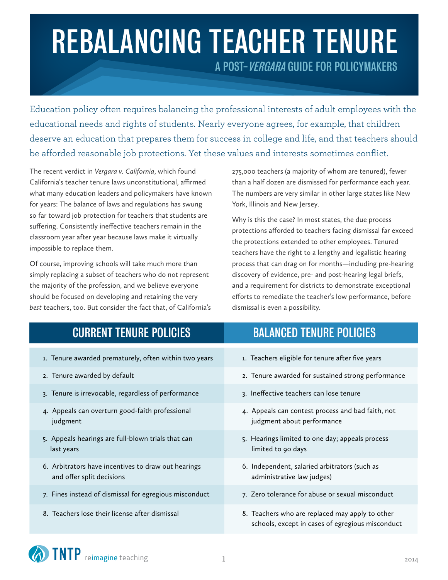# REBALANCING TEACHER TENURE A POST-VERGARA GUIDE FOR POLICYMAKERS

Education policy often requires balancing the professional interests of adult employees with the educational needs and rights of students. Nearly everyone agrees, for example, that children deserve an education that prepares them for success in college and life, and that teachers should be afforded reasonable job protections. Yet these values and interests sometimes conflict.

The recent verdict in *Vergara v. California*, which found California's teacher tenure laws unconstitutional, affirmed what many education leaders and policymakers have known for years: The balance of laws and regulations has swung so far toward job protection for teachers that students are suffering. Consistently ineffective teachers remain in the classroom year after year because laws make it virtually impossible to replace them.

Of course, improving schools will take much more than simply replacing a subset of teachers who do not represent the majority of the profession, and we believe everyone should be focused on developing and retaining the very *best* teachers, too. But consider the fact that, of California's 275,000 teachers (a majority of whom are tenured), fewer than a half dozen are dismissed for performance each year. The numbers are very similar in other large states like New York, Illinois and New Jersey.

Why is this the case? In most states, the due process protections afforded to teachers facing dismissal far exceed the protections extended to other employees. Tenured teachers have the right to a lengthy and legalistic hearing process that can drag on for months—including pre-hearing discovery of evidence, pre- and post-hearing legal briefs, and a requirement for districts to demonstrate exceptional efforts to remediate the teacher's low performance, before dismissal is even a possibility.

| <b>CURRENT TENURE POLICIES</b>                                                   | <b>BALANCED TENURE POLICIES</b>                                                                     |
|----------------------------------------------------------------------------------|-----------------------------------------------------------------------------------------------------|
| 1. Tenure awarded prematurely, often within two years                            | 1. Teachers eligible for tenure after five years                                                    |
| 2. Tenure awarded by default                                                     | 2. Tenure awarded for sustained strong performance                                                  |
| 3. Tenure is irrevocable, regardless of performance                              | 3. Ineffective teachers can lose tenure                                                             |
| 4. Appeals can overturn good-faith professional<br>judgment                      | 4. Appeals can contest process and bad faith, not<br>judgment about performance                     |
| 5. Appeals hearings are full-blown trials that can<br>last years                 | 5. Hearings limited to one day; appeals process<br>limited to 90 days                               |
| 6. Arbitrators have incentives to draw out hearings<br>and offer split decisions | 6. Independent, salaried arbitrators (such as<br>administrative law judges)                         |
| 7. Fines instead of dismissal for egregious misconduct                           | 7. Zero tolerance for abuse or sexual misconduct                                                    |
| 8. Teachers lose their license after dismissal                                   | 8. Teachers who are replaced may apply to other<br>schools, except in cases of egregious misconduct |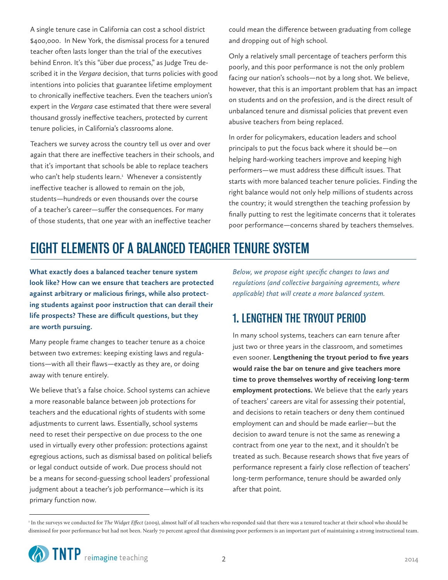A single tenure case in California can cost a school district \$400,000. In New York, the dismissal process for a tenured teacher often lasts longer than the trial of the executives behind Enron. It's this "über due process," as Judge Treu described it in the *Vergara* decision, that turns policies with good intentions into policies that guarantee lifetime employment to chronically ineffective teachers. Even the teachers union's expert in the *Vergara* case estimated that there were several thousand grossly ineffective teachers, protected by current tenure policies, in California's classrooms alone.

Teachers we survey across the country tell us over and over again that there are ineffective teachers in their schools, and that it's important that schools be able to replace teachers who can't help students learn.<sup>1</sup> Whenever a consistently ineffective teacher is allowed to remain on the job, students—hundreds or even thousands over the course of a teacher's career—suffer the consequences. For many of those students, that one year with an ineffective teacher

could mean the difference between graduating from college and dropping out of high school.

Only a relatively small percentage of teachers perform this poorly, and this poor performance is not the only problem facing our nation's schools—not by a long shot. We believe, however, that this is an important problem that has an impact on students and on the profession, and is the direct result of unbalanced tenure and dismissal policies that prevent even abusive teachers from being replaced.

In order for policymakers, education leaders and school principals to put the focus back where it should be—on helping hard-working teachers improve and keeping high performers—we must address these difficult issues. That starts with more balanced teacher tenure policies. Finding the right balance would not only help millions of students across the country; it would strengthen the teaching profession by finally putting to rest the legitimate concerns that it tolerates poor performance—concerns shared by teachers themselves.

## EIGHT ELEMENTS OF A BALANCED TEACHER TENURE SYSTEM

**What exactly does a balanced teacher tenure system look like? How can we ensure that teachers are protected against arbitrary or malicious firings, while also protecting students against poor instruction that can derail their life prospects? These are difficult questions, but they are worth pursuing.**

Many people frame changes to teacher tenure as a choice between two extremes: keeping existing laws and regulations—with all their flaws—exactly as they are, or doing away with tenure entirely.

We believe that's a false choice. School systems can achieve a more reasonable balance between job protections for teachers and the educational rights of students with some adjustments to current laws. Essentially, school systems need to reset their perspective on due process to the one used in virtually every other profession: protections against egregious actions, such as dismissal based on political beliefs or legal conduct outside of work. Due process should not be a means for second-guessing school leaders' professional judgment about a teacher's job performance—which is its primary function now.

*Below, we propose eight specific changes to laws and regulations (and collective bargaining agreements, where applicable) that will create a more balanced system.* 

## 1. LENGTHEN THE TRYOUT PERIOD

In many school systems, teachers can earn tenure after just two or three years in the classroom, and sometimes even sooner. **Lengthening the tryout period to five years would raise the bar on tenure and give teachers more time to prove themselves worthy of receiving long-term employment protections.** We believe that the early years of teachers' careers are vital for assessing their potential, and decisions to retain teachers or deny them continued employment can and should be made earlier—but the decision to award tenure is not the same as renewing a contract from one year to the next, and it shouldn't be treated as such. Because research shows that five years of performance represent a fairly close reflection of teachers' long-term performance, tenure should be awarded only after that point.

<sup>&</sup>lt;sup>1</sup> In the surveys we conducted for *The Widget Effect* (2009), almost half of all teachers who responded said that there was a tenured teacher at their school who should be dismissed for poor performance but had not been. Nearly 70 percent agreed that dismissing poor performers is an important part of maintaining a strong instructional team.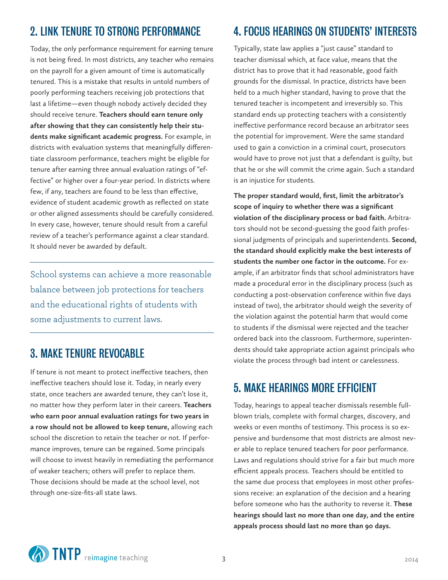## 2. LINK TENURE TO STRONG PERFORMANCE

Today, the only performance requirement for earning tenure is not being fired. In most districts, any teacher who remains on the payroll for a given amount of time is automatically tenured. This is a mistake that results in untold numbers of poorly performing teachers receiving job protections that last a lifetime—even though nobody actively decided they should receive tenure. **Teachers should earn tenure only after showing that they can consistently help their students make significant academic progress.** For example, in districts with evaluation systems that meaningfully differentiate classroom performance, teachers might be eligible for tenure after earning three annual evaluation ratings of "effective" or higher over a four-year period. In districts where few, if any, teachers are found to be less than effective, evidence of student academic growth as reflected on state or other aligned assessments should be carefully considered. In every case, however, tenure should result from a careful review of a teacher's performance against a clear standard. It should never be awarded by default.

School systems can achieve a more reasonable balance between job protections for teachers and the educational rights of students with some adjustments to current laws.

## 3. MAKE TENURE REVOCABLE

If tenure is not meant to protect ineffective teachers, then ineffective teachers should lose it. Today, in nearly every state, once teachers are awarded tenure, they can't lose it, no matter how they perform later in their careers. **Teachers who earn poor annual evaluation ratings for two years in a row should not be allowed to keep tenure,** allowing each school the discretion to retain the teacher or not. If performance improves, tenure can be regained. Some principals will choose to invest heavily in remediating the performance of weaker teachers; others will prefer to replace them. Those decisions should be made at the school level, not through one-size-fits-all state laws.

## 4. FOCUS HEARINGS ON STUDENTS' INTERESTS

Typically, state law applies a "just cause" standard to teacher dismissal which, at face value, means that the district has to prove that it had reasonable, good faith grounds for the dismissal. In practice, districts have been held to a much higher standard, having to prove that the tenured teacher is incompetent and irreversibly so. This standard ends up protecting teachers with a consistently ineffective performance record because an arbitrator sees the potential for improvement. Were the same standard used to gain a conviction in a criminal court, prosecutors would have to prove not just that a defendant is guilty, but that he or she will commit the crime again. Such a standard is an injustice for students.

**The proper standard would, first, limit the arbitrator's scope of inquiry to whether there was a significant violation of the disciplinary process or bad faith.** Arbitrators should not be second-guessing the good faith professional judgments of principals and superintendents. **Second, the standard should explicitly make the best interests of students the number one factor in the outcome.** For example, if an arbitrator finds that school administrators have made a procedural error in the disciplinary process (such as conducting a post-observation conference within five days instead of two), the arbitrator should weigh the severity of the violation against the potential harm that would come to students if the dismissal were rejected and the teacher ordered back into the classroom. Furthermore, superintendents should take appropriate action against principals who violate the process through bad intent or carelessness.

### 5. MAKE HEARINGS MORE EFFICIENT

Today, hearings to appeal teacher dismissals resemble fullblown trials, complete with formal charges, discovery, and weeks or even months of testimony. This process is so expensive and burdensome that most districts are almost never able to replace tenured teachers for poor performance. Laws and regulations should strive for a fair but much more efficient appeals process. Teachers should be entitled to the same due process that employees in most other professions receive: an explanation of the decision and a hearing before someone who has the authority to reverse it. **These hearings should last no more than one day, and the entire appeals process should last no more than 90 days.**